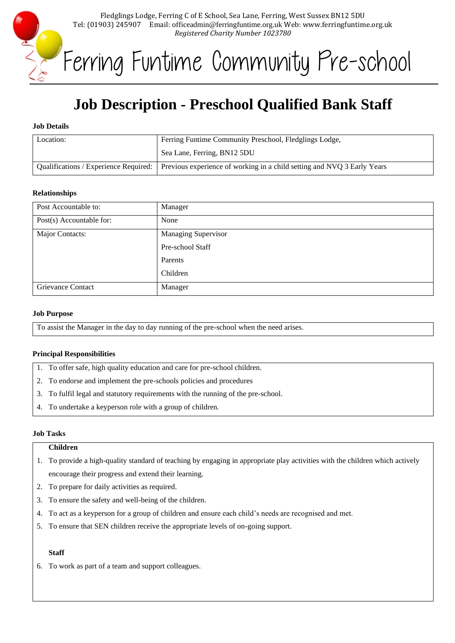

Ferring Funtime Community Pre-school

# **Job Description - Preschool Qualified Bank Staff**

## **Job Details**

| Location: | Ferring Funtime Community Preschool, Fledglings Lodge,                                                          |
|-----------|-----------------------------------------------------------------------------------------------------------------|
|           | Sea Lane, Ferring, BN12 5DU                                                                                     |
|           | Qualifications / Experience Required:   Previous experience of working in a child setting and NVQ 3 Early Years |

#### **Relationships**

| Post Accountable to:     | Manager                    |
|--------------------------|----------------------------|
| Post(s) Accountable for: | None                       |
| Major Contacts:          | <b>Managing Supervisor</b> |
|                          | Pre-school Staff           |
|                          | Parents                    |
|                          | Children                   |
| <b>Grievance Contact</b> | Manager                    |

## **Job Purpose**

To assist the Manager in the day to day running of the pre-school when the need arises.

# **Principal Responsibilities**

- 1. To offer safe, high quality education and care for pre-school children.
- 2. To endorse and implement the pre-schools policies and procedures
- 3. To fulfil legal and statutory requirements with the running of the pre-school.
- 4. To undertake a keyperson role with a group of children.

## **Job Tasks**

## **Children**

- 1. To provide a high-quality standard of teaching by engaging in appropriate play activities with the children which actively encourage their progress and extend their learning.
- 2. To prepare for daily activities as required.
- 3. To ensure the safety and well-being of the children.
- 4. To act as a keyperson for a group of children and ensure each child's needs are recognised and met.
- 5. To ensure that SEN children receive the appropriate levels of on-going support.

#### **Staff**

6. To work as part of a team and support colleagues.